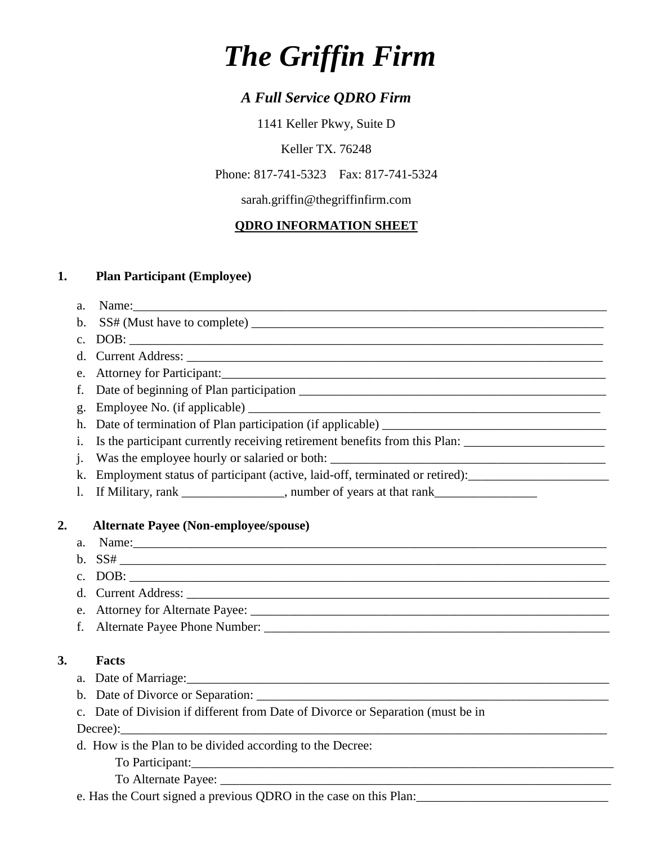# *The Griffin Firm*

# *A Full Service QDRO Firm*

1141 Keller Pkwy, Suite D

Keller TX. 76248

Phone: 817-741-5323 Fax: 817-741-5324

sarah.griffin@thegriffinfirm.com

## **QDRO INFORMATION SHEET**

#### **1. Plan Participant (Employee)**

|    | a.             |                                                                                                                                                                                                                                |
|----|----------------|--------------------------------------------------------------------------------------------------------------------------------------------------------------------------------------------------------------------------------|
|    | b.             | SS# (Must have to complete)                                                                                                                                                                                                    |
|    | $\mathbf{c}$ . |                                                                                                                                                                                                                                |
|    | d.             |                                                                                                                                                                                                                                |
|    | e.             |                                                                                                                                                                                                                                |
|    | f.             |                                                                                                                                                                                                                                |
|    | g.             |                                                                                                                                                                                                                                |
|    | h.             |                                                                                                                                                                                                                                |
|    | i.             | Is the participant currently receiving retirement benefits from this Plan:                                                                                                                                                     |
|    | 1.             |                                                                                                                                                                                                                                |
|    | k.             | Employment status of participant (active, laid-off, terminated or retired): ________________________                                                                                                                           |
|    | 1.             | If Military, rank _______________, number of years at that rank ________________                                                                                                                                               |
| 2. |                | <b>Alternate Payee (Non-employee/spouse)</b>                                                                                                                                                                                   |
|    | a.             |                                                                                                                                                                                                                                |
|    |                |                                                                                                                                                                                                                                |
|    |                | c. DOB: $\_\_\_\_\_\_\_\_\_\_$                                                                                                                                                                                                 |
|    | $\mathbf{d}$ . |                                                                                                                                                                                                                                |
|    | e.             |                                                                                                                                                                                                                                |
|    | f.             |                                                                                                                                                                                                                                |
| 3. |                | <b>Facts</b>                                                                                                                                                                                                                   |
|    |                | a. Date of Marriage: example and a series of Marriage and the series of Marriage and the series of Marriage and the series of the series of the series of the series of the series of the series of the series of the series o |
|    |                |                                                                                                                                                                                                                                |
|    |                | c. Date of Division if different from Date of Divorce or Separation (must be in                                                                                                                                                |
|    |                | Decree):                                                                                                                                                                                                                       |
|    |                | d. How is the Plan to be divided according to the Decree:                                                                                                                                                                      |
|    |                | To Participant:                                                                                                                                                                                                                |
|    |                | To Alternate Payee:                                                                                                                                                                                                            |

e. Has the Court signed a previous QDRO in the case on this Plan: